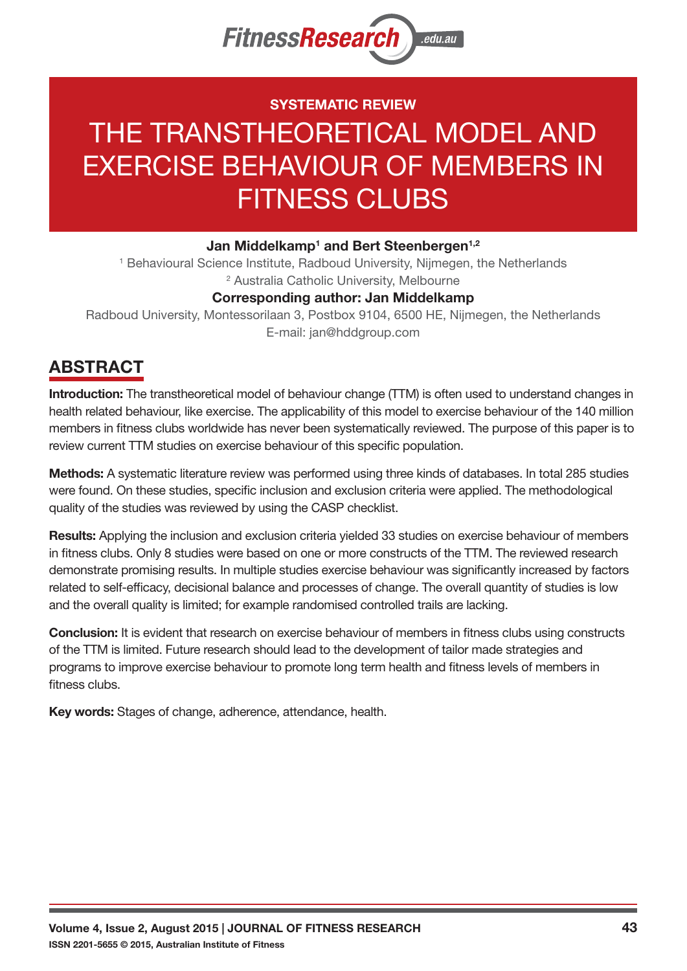

# **SYSTEMATIC REVIEW** THE TRANSTHEORETICAL MODEL AND EXERCISE BEHAVIOUR OF MEMBERS IN FITNESS CLUBS

#### Jan Middelkamp<sup>1</sup> and Bert Steenbergen<sup>1,2</sup>

<sup>1</sup> Behavioural Science Institute, Radboud University, Nijmegen, the Netherlands <sup>2</sup> Australia Catholic University, Melbourne **Corresponding author: Jan Middelkamp**

Radboud University, Montessorilaan 3, Postbox 9104, 6500 HE, Nijmegen, the Netherlands E-mail: jan@hddgroup.com

## **ABSTRACT**

**Introduction:** The transtheoretical model of behaviour change (TTM) is often used to understand changes in health related behaviour, like exercise. The applicability of this model to exercise behaviour of the 140 million members in fitness clubs worldwide has never been systematically reviewed. The purpose of this paper is to review current TTM studies on exercise behaviour of this specific population.

**Methods:** A systematic literature review was performed using three kinds of databases. In total 285 studies were found. On these studies, specific inclusion and exclusion criteria were applied. The methodological quality of the studies was reviewed by using the CASP checklist.

**Results:** Applying the inclusion and exclusion criteria yielded 33 studies on exercise behaviour of members in fitness clubs. Only 8 studies were based on one or more constructs of the TTM. The reviewed research demonstrate promising results. In multiple studies exercise behaviour was significantly increased by factors related to self-efficacy, decisional balance and processes of change. The overall quantity of studies is low and the overall quality is limited; for example randomised controlled trails are lacking.

**Conclusion:** It is evident that research on exercise behaviour of members in fitness clubs using constructs of the TTM is limited. Future research should lead to the development of tailor made strategies and programs to improve exercise behaviour to promote long term health and fitness levels of members in fitness clubs.

**Key words:** Stages of change, adherence, attendance, health.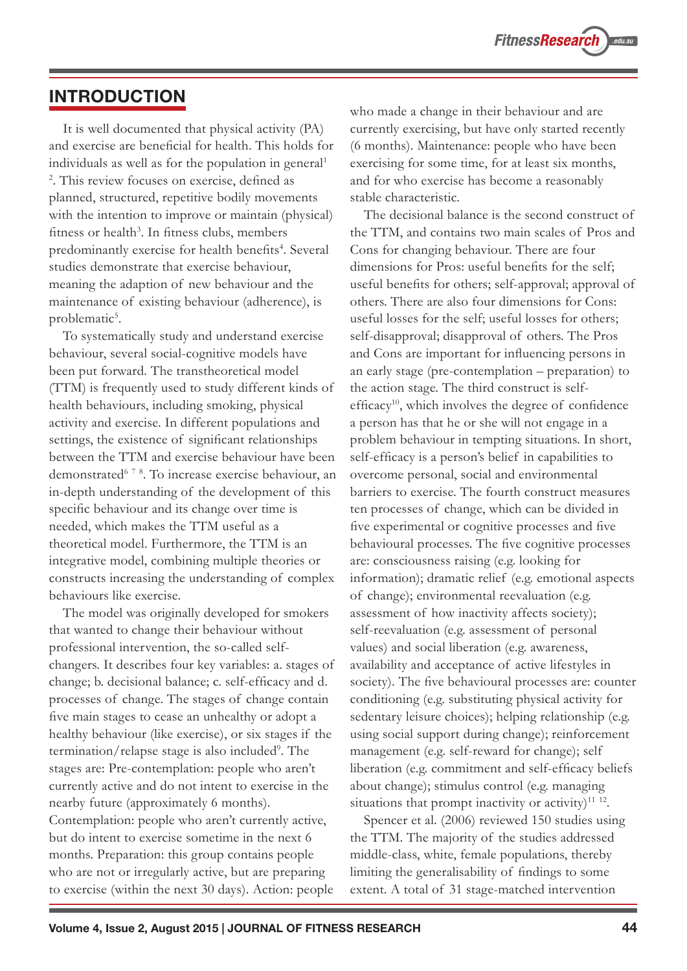#### **INTRODUCTION**

It is well documented that physical activity (PA) and exercise are beneficial for health. This holds for individuals as well as for the population in general<sup>1</sup> 2 . This review focuses on exercise, defined as planned, structured, repetitive bodily movements with the intention to improve or maintain (physical) fitness or health<sup>3</sup>. In fitness clubs, members predominantly exercise for health benefits<sup>4</sup>. Several studies demonstrate that exercise behaviour, meaning the adaption of new behaviour and the maintenance of existing behaviour (adherence), is problematic<sup>5</sup>.

To systematically study and understand exercise behaviour, several social-cognitive models have been put forward. The transtheoretical model (TTM) is frequently used to study different kinds of health behaviours, including smoking, physical activity and exercise. In different populations and settings, the existence of significant relationships between the TTM and exercise behaviour have been demonstrated6 <sup>7</sup> <sup>8</sup> . To increase exercise behaviour, an in-depth understanding of the development of this specific behaviour and its change over time is needed, which makes the TTM useful as a theoretical model. Furthermore, the TTM is an integrative model, combining multiple theories or constructs increasing the understanding of complex behaviours like exercise.

The model was originally developed for smokers that wanted to change their behaviour without professional intervention, the so-called selfchangers. It describes four key variables: a. stages of change; b. decisional balance; c. self-efficacy and d. processes of change. The stages of change contain five main stages to cease an unhealthy or adopt a healthy behaviour (like exercise), or six stages if the termination/relapse stage is also included<sup>9</sup>. The stages are: Pre-contemplation: people who aren't currently active and do not intent to exercise in the nearby future (approximately 6 months). Contemplation: people who aren't currently active, but do intent to exercise sometime in the next 6 months. Preparation: this group contains people who are not or irregularly active, but are preparing to exercise (within the next 30 days). Action: people

who made a change in their behaviour and are currently exercising, but have only started recently (6 months). Maintenance: people who have been exercising for some time, for at least six months, and for who exercise has become a reasonably stable characteristic.

The decisional balance is the second construct of the TTM, and contains two main scales of Pros and Cons for changing behaviour. There are four dimensions for Pros: useful benefits for the self; useful benefits for others; self-approval; approval of others. There are also four dimensions for Cons: useful losses for the self; useful losses for others; self-disapproval; disapproval of others. The Pros and Cons are important for influencing persons in an early stage (pre-contemplation – preparation) to the action stage. The third construct is selfefficacy<sup>10</sup>, which involves the degree of confidence a person has that he or she will not engage in a problem behaviour in tempting situations. In short, self-efficacy is a person's belief in capabilities to overcome personal, social and environmental barriers to exercise. The fourth construct measures ten processes of change, which can be divided in five experimental or cognitive processes and five behavioural processes. The five cognitive processes are: consciousness raising (e.g. looking for information); dramatic relief (e.g. emotional aspects of change); environmental reevaluation (e.g. assessment of how inactivity affects society); self-reevaluation (e.g. assessment of personal values) and social liberation (e.g. awareness, availability and acceptance of active lifestyles in society). The five behavioural processes are: counter conditioning (e.g. substituting physical activity for sedentary leisure choices); helping relationship (e.g. using social support during change); reinforcement management (e.g. self-reward for change); self liberation (e.g. commitment and self-efficacy beliefs about change); stimulus control (e.g. managing situations that prompt inactivity or activity)<sup>11 12</sup>.

Spencer et al. (2006) reviewed 150 studies using the TTM. The majority of the studies addressed middle-class, white, female populations, thereby limiting the generalisability of findings to some extent. A total of 31 stage-matched intervention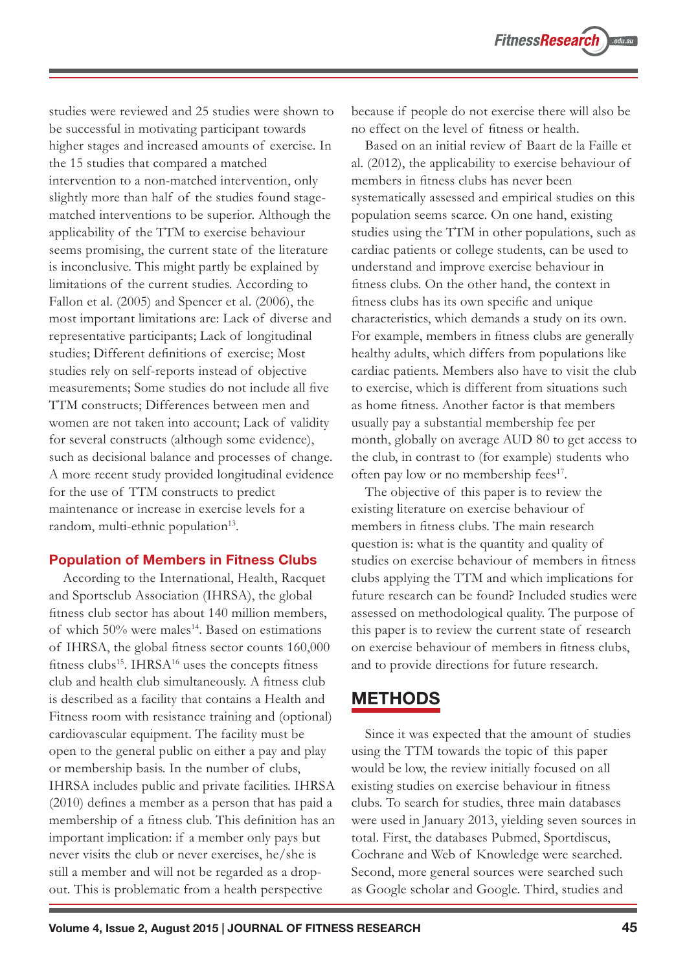studies were reviewed and 25 studies were shown to be successful in motivating participant towards higher stages and increased amounts of exercise. In the 15 studies that compared a matched intervention to a non-matched intervention, only slightly more than half of the studies found stagematched interventions to be superior. Although the applicability of the TTM to exercise behaviour seems promising, the current state of the literature is inconclusive. This might partly be explained by limitations of the current studies. According to Fallon et al. (2005) and Spencer et al. (2006), the most important limitations are: Lack of diverse and representative participants; Lack of longitudinal studies; Different definitions of exercise; Most studies rely on self-reports instead of objective measurements; Some studies do not include all five TTM constructs; Differences between men and women are not taken into account; Lack of validity for several constructs (although some evidence), such as decisional balance and processes of change. A more recent study provided longitudinal evidence for the use of TTM constructs to predict maintenance or increase in exercise levels for a random, multi-ethnic population<sup>13</sup>.

#### **Population of Members in Fitness Clubs**

According to the International, Health, Racquet and Sportsclub Association (IHRSA), the global fitness club sector has about 140 million members, of which  $50\%$  were males<sup>14</sup>. Based on estimations of IHRSA, the global fitness sector counts 160,000 fitness clubs<sup>15</sup>. IHRS $A^{16}$  uses the concepts fitness club and health club simultaneously. A fitness club is described as a facility that contains a Health and Fitness room with resistance training and (optional) cardiovascular equipment. The facility must be open to the general public on either a pay and play or membership basis. In the number of clubs, IHRSA includes public and private facilities. IHRSA (2010) defines a member as a person that has paid a membership of a fitness club. This definition has an important implication: if a member only pays but never visits the club or never exercises, he/she is still a member and will not be regarded as a dropout. This is problematic from a health perspective

because if people do not exercise there will also be no effect on the level of fitness or health.

Based on an initial review of Baart de la Faille et al. (2012), the applicability to exercise behaviour of members in fitness clubs has never been systematically assessed and empirical studies on this population seems scarce. On one hand, existing studies using the TTM in other populations, such as cardiac patients or college students, can be used to understand and improve exercise behaviour in fitness clubs. On the other hand, the context in fitness clubs has its own specific and unique characteristics, which demands a study on its own. For example, members in fitness clubs are generally healthy adults, which differs from populations like cardiac patients. Members also have to visit the club to exercise, which is different from situations such as home fitness. Another factor is that members usually pay a substantial membership fee per month, globally on average AUD 80 to get access to the club, in contrast to (for example) students who often pay low or no membership fees<sup>17</sup>.

The objective of this paper is to review the existing literature on exercise behaviour of members in fitness clubs. The main research question is: what is the quantity and quality of studies on exercise behaviour of members in fitness clubs applying the TTM and which implications for future research can be found? Included studies were assessed on methodological quality. The purpose of this paper is to review the current state of research on exercise behaviour of members in fitness clubs, and to provide directions for future research.

#### **METHODS**

Since it was expected that the amount of studies using the TTM towards the topic of this paper would be low, the review initially focused on all existing studies on exercise behaviour in fitness clubs. To search for studies, three main databases were used in January 2013, yielding seven sources in total. First, the databases Pubmed, Sportdiscus, Cochrane and Web of Knowledge were searched. Second, more general sources were searched such as Google scholar and Google. Third, studies and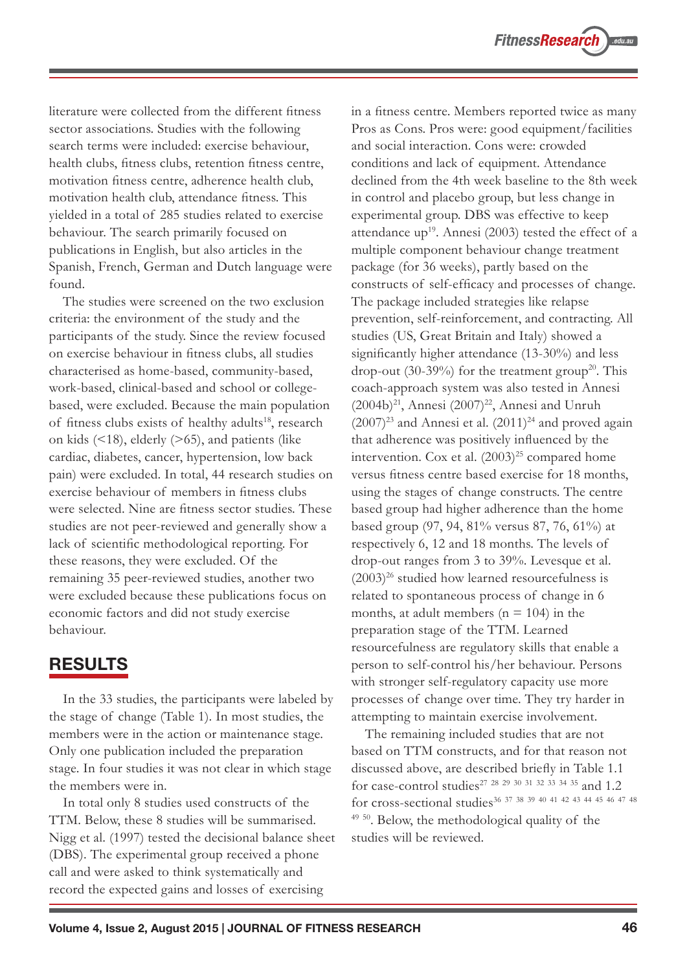literature were collected from the different fitness sector associations. Studies with the following search terms were included: exercise behaviour, health clubs, fitness clubs, retention fitness centre, motivation fitness centre, adherence health club, motivation health club, attendance fitness. This yielded in a total of 285 studies related to exercise behaviour. The search primarily focused on publications in English, but also articles in the Spanish, French, German and Dutch language were found.

The studies were screened on the two exclusion criteria: the environment of the study and the participants of the study. Since the review focused on exercise behaviour in fitness clubs, all studies characterised as home-based, community-based, work-based, clinical-based and school or collegebased, were excluded. Because the main population of fitness clubs exists of healthy adults<sup>18</sup>, research on kids  $($  <18), elderly  $($  >65), and patients (like cardiac, diabetes, cancer, hypertension, low back pain) were excluded. In total, 44 research studies on exercise behaviour of members in fitness clubs were selected. Nine are fitness sector studies. These studies are not peer-reviewed and generally show a lack of scientific methodological reporting. For these reasons, they were excluded. Of the remaining 35 peer-reviewed studies, another two were excluded because these publications focus on economic factors and did not study exercise behaviour.

#### **RESULTS**

In the 33 studies, the participants were labeled by the stage of change (Table 1). In most studies, the members were in the action or maintenance stage. Only one publication included the preparation stage. In four studies it was not clear in which stage the members were in.

In total only 8 studies used constructs of the TTM. Below, these 8 studies will be summarised. Nigg et al. (1997) tested the decisional balance sheet (DBS). The experimental group received a phone call and were asked to think systematically and record the expected gains and losses of exercising

in a fitness centre. Members reported twice as many Pros as Cons. Pros were: good equipment/facilities and social interaction. Cons were: crowded conditions and lack of equipment. Attendance declined from the 4th week baseline to the 8th week in control and placebo group, but less change in experimental group. DBS was effective to keep attendance up<sup>19</sup>. Annesi (2003) tested the effect of a multiple component behaviour change treatment package (for 36 weeks), partly based on the constructs of self-efficacy and processes of change. The package included strategies like relapse prevention, self-reinforcement, and contracting. All studies (US, Great Britain and Italy) showed a significantly higher attendance (13-30%) and less drop-out (30-39%) for the treatment group<sup>20</sup>. This coach-approach system was also tested in Annesi  $(2004b)^{21}$ , Annesi  $(2007)^{22}$ , Annesi and Unruh  $(2007)^{23}$  and Annesi et al.  $(2011)^{24}$  and proved again that adherence was positively influenced by the intervention. Cox et al.  $(2003)^{25}$  compared home versus fitness centre based exercise for 18 months, using the stages of change constructs. The centre based group had higher adherence than the home based group (97, 94, 81% versus 87, 76, 61%) at respectively 6, 12 and 18 months. The levels of drop-out ranges from 3 to 39%. Levesque et al.  $(2003)^{26}$  studied how learned resourcefulness is related to spontaneous process of change in 6 months, at adult members ( $n = 104$ ) in the preparation stage of the TTM. Learned resourcefulness are regulatory skills that enable a person to self-control his/her behaviour. Persons with stronger self-regulatory capacity use more processes of change over time. They try harder in attempting to maintain exercise involvement.

The remaining included studies that are not based on TTM constructs, and for that reason not discussed above, are described briefly in Table 1.1 for case-control studies27 <sup>28</sup> <sup>29</sup> <sup>30</sup> <sup>31</sup> <sup>32</sup> <sup>33</sup> <sup>34</sup> 35 and 1.2 for cross-sectional studies36 <sup>37</sup> <sup>38</sup> <sup>39</sup> <sup>40</sup> <sup>41</sup> <sup>42</sup> <sup>43</sup> <sup>44</sup> <sup>45</sup> <sup>46</sup> <sup>47</sup> <sup>48</sup> <sup>49 50</sup>. Below, the methodological quality of the studies will be reviewed.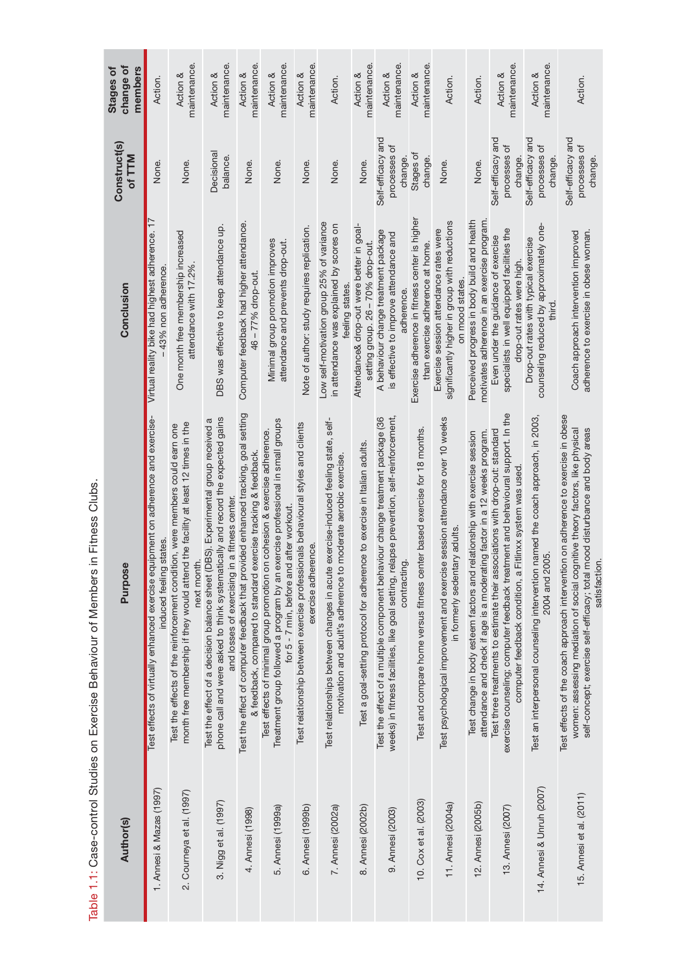|                                                                                                                                                                                                                                                                   | uipment on adherence and exercise-<br>Purpose | Virtual reality bike had highest adherence. 17<br>Conclusion                                                    | <b>Construct(s)</b><br>of TTM                  | change of<br><b>Stages of</b><br>members |
|-------------------------------------------------------------------------------------------------------------------------------------------------------------------------------------------------------------------------------------------------------------------|-----------------------------------------------|-----------------------------------------------------------------------------------------------------------------|------------------------------------------------|------------------------------------------|
| Test effects of virtually enhanced exercise eq<br>induced feeling                                                                                                                                                                                                 | states                                        | -43% non adherence                                                                                              | None.                                          | Action.                                  |
| month free membership if they would attend the facility at least 12 times in the<br>Test the effects of the reinforcement condition, were members could earn one<br>next month.                                                                                   |                                               | One month free membership increased<br>attendance with 17.2%                                                    | None.                                          | maintenance.<br>Action &                 |
| phone call and were asked to think systematically and record the expected gains<br>Test the effect of a decision balance sheet (DBS). Experimental group received a<br>and losses of exercising in a fitness center.                                              |                                               | DBS was effective to keep attendance up.                                                                        | Decisional<br>balance.                         | maintenance.<br>Action &                 |
| Test the effect of computer feedback that provided enhanced tracking, goal setting<br>& feedback, compared to standard exercise tracking & feedback.                                                                                                              |                                               | Computer feedback had higher attendance.<br>46 - 77% drop-out                                                   | None.                                          | maintenance.<br>Action &                 |
| Treatment group followed a program by an exercise professional in small groups<br>Test effects of minimal group promotion on cohesion & exercise adherence.<br>for 5 - 7 min, before and                                                                          | I after workout.                              | Minimal group promotion improves<br>attendance and prevents drop-out                                            | None.                                          | maintenance.<br>Action &                 |
| Test relationship between exercise professionals behavioural styles and clients<br>exercise adherence.                                                                                                                                                            |                                               | Note of author: study requires replication.                                                                     | None.                                          | maintenance.<br>Action &                 |
| motivation and adult's adherence to moderate aerobic exercise<br>Test relationships between changes in acute                                                                                                                                                      | exercise-induced feeling state, self-         | Low self-motivation group 25% of variance<br>in attendance was explained by scores on<br>feeling states         | None.                                          | Action.                                  |
| Test a goal-setting protocol for adherence to exercise in Italian adults.                                                                                                                                                                                         |                                               | Attendance& drop-out were better in goal-<br>setting group. 26 - 70% drop-out.                                  | None.                                          | maintenance.<br>Action &                 |
| weeks) in fitness facilities, like goal setting, relapse prevention, self-reinforcement,<br>Test the effect of a multiple component behaviour change treatment package (36<br>contracting.                                                                        |                                               | A behaviour change treatment package<br>is effective to improve attendance and<br>adherence.                    | Self-efficacy and<br>processes of<br>change.   | maintenance.<br>Action &                 |
| Test and compare home versus fitness center based exercise for 18 months.                                                                                                                                                                                         |                                               | Exercise adherence in fitness center is higher<br>than exercise adherence at home.                              | Stages of<br>change.                           | maintenance.<br>Action &                 |
| Test psychological improvement and exercise session attendance over 10 weeks<br>in formerly sedentary adults                                                                                                                                                      |                                               | significantly higher in group with reductions<br>Exercise session attendance rates were<br>on mood states.      | None.                                          | Action.                                  |
| Test change in body esteem factors and relationship with exercise session<br>attendance and check if age is a moderating factor in a 12 weeks program.                                                                                                            |                                               | motivates adherence in an exercise program.<br>Perceived progress in body build and health                      | None.                                          | Action.                                  |
| exercise counseling; computer feedback treatment and behavioural support. In the<br>Test three treatments to estimate their associations with drop-out: standard<br>computer feedback condition, a Fitlinxx system was used                                       |                                               | specialists in well equipped facilities the<br>Even under the guidance of exercise<br>drop-out rates were high. | Self-efficacy and<br>৳<br>processes<br>change. | maintenance.<br>Action &                 |
| 2004 and 2005.<br>Test an interpersonal counseling intervention                                                                                                                                                                                                   | named the coach approach, in 2003,            | counseling reduced by approximately one-<br>Drop-out rates with typical exercise<br>third.                      | Self-efficacy and<br>৳<br>processes<br>change. | maintenance<br>Action &                  |
| Test effects of the coach approach intervention on adherence to exercise in obese<br>women: assessing mediation of social cognitive theory factors, like physical<br>self-concept; exercise self-efficacy; total mood disturbance and body areas<br>satisfaction. |                                               | adherence to exercise in obese woman.<br>Coach approach intervention improved                                   | Self-efficacy and<br>đ<br>processes<br>change. | Action.                                  |

Table 1.1: Case-control Studies on Exercise Behaviour of Members in Fitness Clubs. Table 1.1: Case-control Studies on Exercise Behaviour of Members in Fitness Clubs.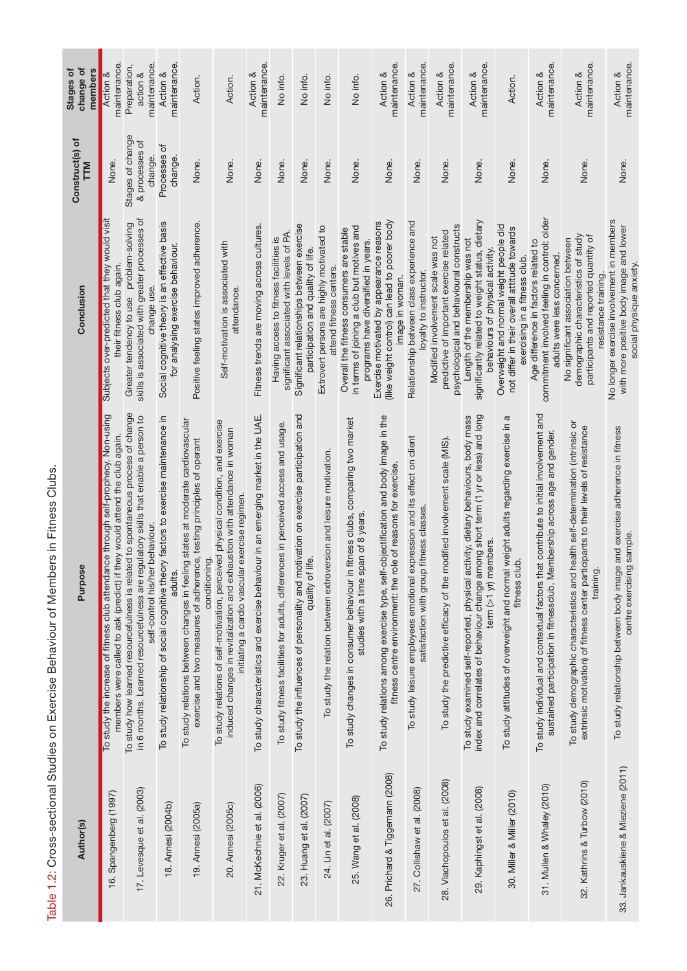| ,<br>)                               |
|--------------------------------------|
|                                      |
|                                      |
| <u>:</u>                             |
|                                      |
| צונטים ביוטים                        |
|                                      |
|                                      |
| $\frac{1}{2}$<br>こくらくもく              |
| )<br>)<br>)<br>)<br>،<br>}<br>}<br>i |
|                                      |
|                                      |

| change of<br>members<br><b>Stages of</b> | maintenance.<br>Action &                                                                                                                                       | maintenance.<br>Preparation,<br>action &                                                                                                                                                                  | maintenance.<br>Action &                                                                       | Action.                                                                                                                                                                   | Action.                                                                                                                                                                                                          | maintenance.<br>Action &                                                          | No info.                                                                            | No info.                                                                                                | No info.                                                             | No info.                                                                                                                      | maintenance.<br>Action &                                                                                                                            | maintenance.<br>Action &                                                                                             | maintenance.<br>Action &                                                                                                   | maintenance.<br>Action &                                                                                                                                                                           | Action.                                                                                                                  | maintenance.<br>Action &                                                                                                                                           | maintenance.<br>Action &                                                                                                                                                            | maintenance.<br>Action &                                                                                         |
|------------------------------------------|----------------------------------------------------------------------------------------------------------------------------------------------------------------|-----------------------------------------------------------------------------------------------------------------------------------------------------------------------------------------------------------|------------------------------------------------------------------------------------------------|---------------------------------------------------------------------------------------------------------------------------------------------------------------------------|------------------------------------------------------------------------------------------------------------------------------------------------------------------------------------------------------------------|-----------------------------------------------------------------------------------|-------------------------------------------------------------------------------------|---------------------------------------------------------------------------------------------------------|----------------------------------------------------------------------|-------------------------------------------------------------------------------------------------------------------------------|-----------------------------------------------------------------------------------------------------------------------------------------------------|----------------------------------------------------------------------------------------------------------------------|----------------------------------------------------------------------------------------------------------------------------|----------------------------------------------------------------------------------------------------------------------------------------------------------------------------------------------------|--------------------------------------------------------------------------------------------------------------------------|--------------------------------------------------------------------------------------------------------------------------------------------------------------------|-------------------------------------------------------------------------------------------------------------------------------------------------------------------------------------|------------------------------------------------------------------------------------------------------------------|
| Construct(s) of<br>TTM                   | None.                                                                                                                                                          | Stages of change<br>& processes of<br>change.                                                                                                                                                             | đ<br>Processes<br>change.                                                                      | None.                                                                                                                                                                     | None.                                                                                                                                                                                                            | None.                                                                             | None.                                                                               | None.                                                                                                   | None.                                                                | None.                                                                                                                         | None.                                                                                                                                               | None.                                                                                                                | None.                                                                                                                      | None.                                                                                                                                                                                              | None.                                                                                                                    | None.                                                                                                                                                              | None.                                                                                                                                                                               | None.                                                                                                            |
| Conclusion                               | Subjects over-predicted that they would visit<br>their fitness club again.                                                                                     | skills is associated with greater processes of<br>Greater tendency to use problem-solving<br>change use.                                                                                                  | Social cognitive theory is an effective basis<br>for analysing exercise behaviour.             | Positive feeling states improved adherence                                                                                                                                | Self-motivation is associated with<br>attendance.                                                                                                                                                                | Fitness trends are moving across cultures                                         | significant associated with levels of PA.<br>Having access to fitness facilities is | Significant relationships between exercise<br>participation and quality of life.                        | Extrovert persons are highly motivated to<br>attend fitness centers. | in terms of joining a club but motives and<br>Overall the fitness consumers are stable<br>programs have diversified in years. | (like weight control) can lead to poorer body<br>Exercise motivated by appearance reasons<br>image in woman.                                        | Relationship between class experience and<br>loyalty to instructor.                                                  | psychological and behavioural constructs<br>predictive of important exercise related<br>Modified involvement scale was not | significantly related to weight status, dietary<br>Length of the membership was not<br>behaviours of physical activity.                                                                            | Overweight and normal weight people did<br>not differ in their overall attitude towards<br>exercising in a fitness club. | commitment involved feeling in control: older<br>Age difference in factors related to<br>adults were less concerned.                                               | demographic characteristics of study<br>participants and reported quantity of<br>No significant association between<br>resistance training.                                         | No longer exercise involvement in members<br>with more positive body image and lower<br>social physique anxiety. |
| <b>Purpose</b>                           | To study the increase of fitness club attendance through self-prophecy. Non-using<br>members were called to ask (predict) if they would attend the club again. | To study how learned resourcefulness is related to spontaneous process of change<br>in 6 months. Learned resourcefulness are regulatory skills that enable a person to<br>self-control his/her behaviour. | To study relationship of social cognitive theory factors to exercise maintenance in<br>adults. | To study relations between changes in feeling states at moderate cardiovascular<br>exercise and two measures of adherence, testing principles of operant<br>conditioning. | To study relations of self-motivation, perceived physical condition, and exercise<br>induced changes in revitalization and exhaustion with attendance in woman<br>initiating a cardio vascular exercise regimen. | To study characteristics and exercise behaviour in an emerging market in the UAE. | To study fitness facilities for adults, differences in perceived access and usage.  | To study the influences of personality and motivation on exercise participation and<br>quality of life. | To study the relation between extroversion and leisure motivation.   | To study changes in consumer behaviour in fitness clubs, comparing two market<br>studies with a time span of 8 years.         | To study relations among exercise type, self-objectification and body image in the<br>fitness centre environment: the role of reasons for exercise. | To study leisure employees emotional expression and its effect on client<br>satisfaction with group fitness classes. | To study the predictive efficacy of the modified involvement scale (MIS)                                                   | index and correlates of behaviour change among short term (1 yr or less) and long<br>To study examined self-reported, physical activity, dietary behaviours, body mass<br>term $($ >1 yr) members. | To study attitudes of overweight and normal weight adults regarding exercise in a<br>fitness club.                       | To study individual and contextual factors that contribute to initial involvement and<br>sustained participation in fitnessclub. Membership across age and gender. | To study demographic characteristics and health self-determination (intrinsic or<br>extrinsic motivation) of fitness center participants to their levels of resistance<br>training. | and exercise adherence in fitness<br>sample<br>To study relationship between body image<br>centre exercising     |
| Author(s)                                | 16. Spangenberg (1997)                                                                                                                                         | 17. Levesque et al. (2003)                                                                                                                                                                                | 18. Annesi (2004b)                                                                             | 19. Annesi (2005a)                                                                                                                                                        | 20. Annesi (2005c)                                                                                                                                                                                               | 21. McKechnie et al. (2006)                                                       | 22. Kruger et al. (2007)                                                            | 23. Huang et al. (2007)                                                                                 | 24. Lin et al. (2007)                                                | 25. Wang et al. (2008)                                                                                                        | 26. Prichard & Tiggemann (2008)                                                                                                                     | 27. Collishaw et al. (2008)                                                                                          | 28. Vlachopoulos et al. (2008)                                                                                             | 29. Kaphingst et al. (2008)                                                                                                                                                                        | 30. Miller & Miller (2010)                                                                                               | 31. Mullen & Whaley (2010)                                                                                                                                         | 32. Kathrins & Turbow (2010)                                                                                                                                                        | 33. Jankauskiene & Mieziene (2011)                                                                               |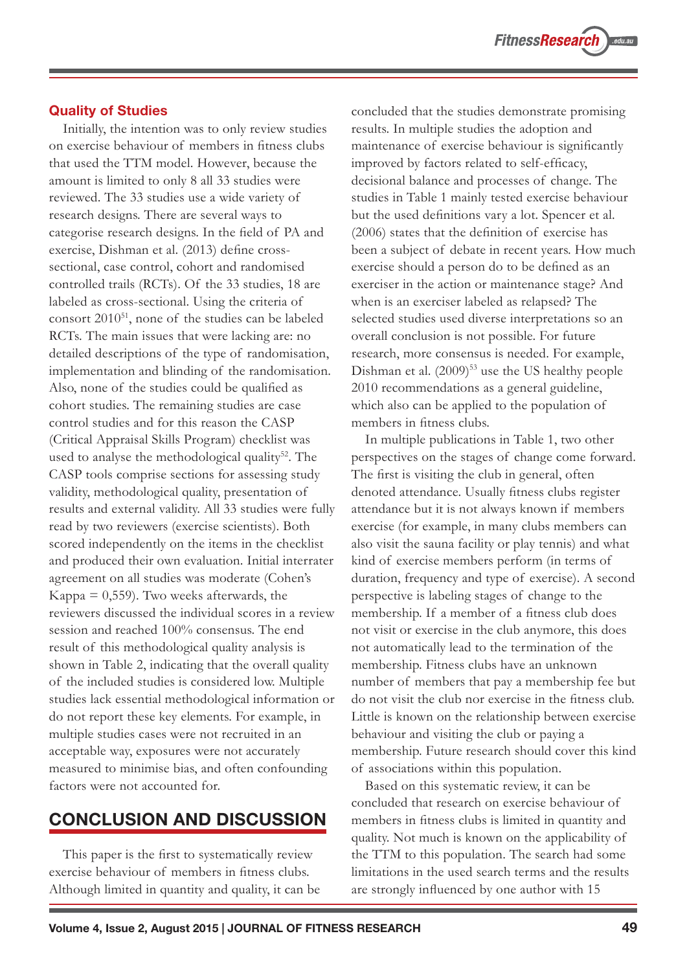#### **Quality of Studies**

Initially, the intention was to only review studies on exercise behaviour of members in fitness clubs that used the TTM model. However, because the amount is limited to only 8 all 33 studies were reviewed. The 33 studies use a wide variety of research designs. There are several ways to categorise research designs. In the field of PA and exercise, Dishman et al. (2013) define crosssectional, case control, cohort and randomised controlled trails (RCTs). Of the 33 studies, 18 are labeled as cross-sectional. Using the criteria of consort 201051, none of the studies can be labeled RCTs. The main issues that were lacking are: no detailed descriptions of the type of randomisation, implementation and blinding of the randomisation. Also, none of the studies could be qualified as cohort studies. The remaining studies are case control studies and for this reason the CASP (Critical Appraisal Skills Program) checklist was used to analyse the methodological quality<sup>52</sup>. The CASP tools comprise sections for assessing study validity, methodological quality, presentation of results and external validity. All 33 studies were fully read by two reviewers (exercise scientists). Both scored independently on the items in the checklist and produced their own evaluation. Initial interrater agreement on all studies was moderate (Cohen's Kappa  $= 0,559$ . Two weeks afterwards, the reviewers discussed the individual scores in a review session and reached 100% consensus. The end result of this methodological quality analysis is shown in Table 2, indicating that the overall quality of the included studies is considered low. Multiple studies lack essential methodological information or do not report these key elements. For example, in multiple studies cases were not recruited in an acceptable way, exposures were not accurately measured to minimise bias, and often confounding factors were not accounted for.

## **CONCLUSION AND DISCUSSION**

This paper is the first to systematically review exercise behaviour of members in fitness clubs. Although limited in quantity and quality, it can be concluded that the studies demonstrate promising results. In multiple studies the adoption and maintenance of exercise behaviour is significantly improved by factors related to self-efficacy, decisional balance and processes of change. The studies in Table 1 mainly tested exercise behaviour but the used definitions vary a lot. Spencer et al. (2006) states that the definition of exercise has been a subject of debate in recent years. How much exercise should a person do to be defined as an exerciser in the action or maintenance stage? And when is an exerciser labeled as relapsed? The selected studies used diverse interpretations so an overall conclusion is not possible. For future research, more consensus is needed. For example, Dishman et al. (2009)<sup>53</sup> use the US healthy people 2010 recommendations as a general guideline, which also can be applied to the population of members in fitness clubs.

In multiple publications in Table 1, two other perspectives on the stages of change come forward. The first is visiting the club in general, often denoted attendance. Usually fitness clubs register attendance but it is not always known if members exercise (for example, in many clubs members can also visit the sauna facility or play tennis) and what kind of exercise members perform (in terms of duration, frequency and type of exercise). A second perspective is labeling stages of change to the membership. If a member of a fitness club does not visit or exercise in the club anymore, this does not automatically lead to the termination of the membership. Fitness clubs have an unknown number of members that pay a membership fee but do not visit the club nor exercise in the fitness club. Little is known on the relationship between exercise behaviour and visiting the club or paying a membership. Future research should cover this kind of associations within this population.

Based on this systematic review, it can be concluded that research on exercise behaviour of members in fitness clubs is limited in quantity and quality. Not much is known on the applicability of the TTM to this population. The search had some limitations in the used search terms and the results are strongly influenced by one author with 15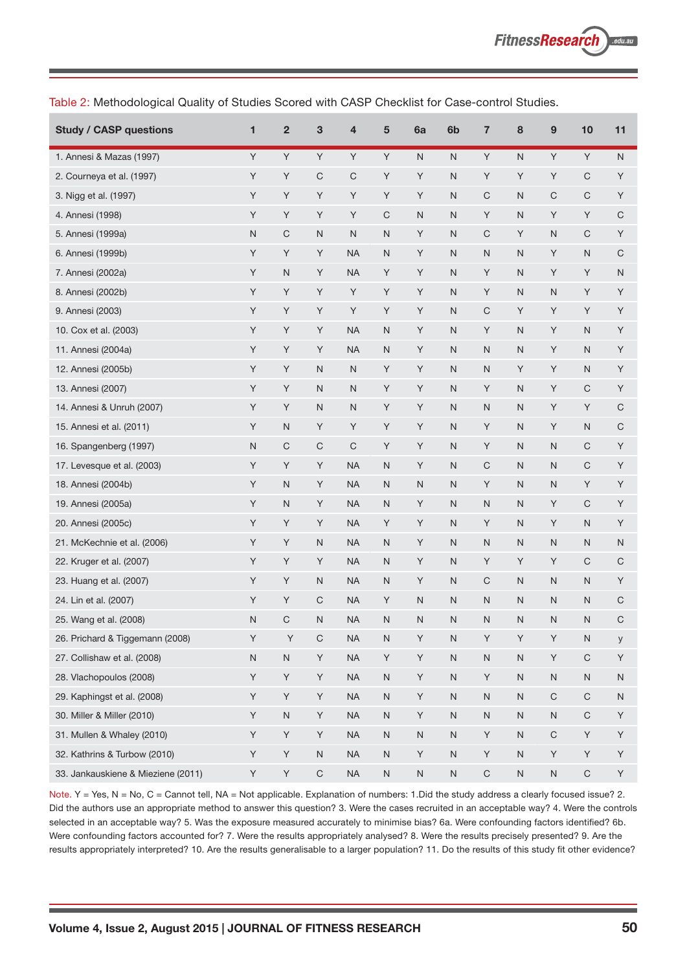**Study / CASP questions 1 2 3 4 5 6a 6b 7 8 9 10 11** 1. Annesi & Mazas (1997) YYYYYYYNNYNYNYY 2. Courneya et al. (1997) Y Y C C Y Y N Y Y Y C Y 3. Nigg et al. (1997) YYYYYYY NCNCCY 4. Annesi (1998) YYYYCNNYNYYC 5. Annesi (1999a) NCNNNYNCYNCY 6. Annesi (1999b) Y Y Y NA N Y N N N Y N C 7. Annesi (2002a) Y N Y NA Y Y N Y N Y Y N 8. Annesi (2002b) YYYYYYYY NY NNYY 9. Annesi (2003) YYYYYYYY Y X CYYYY 10. Cox et al. (2003) Y Y Y NA N Y N Y N Y N Y 11. Annesi (2004a) Y Y Y Y NA N Y N N N Y N Y 12. Annesi (2005b) Y Y N N Y Y N N Y Y N Y 13. Annesi (2007) Y Y N N Y Y N Y N Y C Y 14. Annesi & Unruh (2007) Y Y N N Y Y N N N Y Y C 15. Annesi et al. (2011) Y N Y Y Y Y N Y N Y N C 16. Spangenberg (1997) NCCCCYYYNYNNNCY 17. Levesque et al. (2003) Y Y Y NA N Y NCNNCY 18. Annesi (2004b) Y N Y NA N N N Y N N Y Y 19. Annesi (2005a) Y N Y NA N Y N N N Y C Y 20. Annesi (2005c) Y Y Y NA Y Y N Y N Y N Y 21. McKechnie et al. (2006) Y Y N NA N Y NNNNNN 22. Kruger et al. (2007) Y Y Y NA N Y N Y Y Y C C 23. Huang et al. (2007) The Secondary Secondary Secondary Secondary Secondary Secondary Secondary Secondary Secondary Secondary Secondary Secondary Secondary Secondary Secondary Secondary Secondary Secondary Secondary Seco 24. Lin et al. (2007) Y Y C NA Y N N N N N N C 25. Wang et al. (2008) N C N NA N N N N N N N C 26. Prichard & Tiggemann (2008) Y Y C NA N Y N Y Y Y N y 27. Collishaw et al. (2008) N N Y NA Y Y N N N Y C Y 28. Vlachopoulos (2008) Y Y Y NA N Y N Y N N N N 29. Kaphingst et al. (2008) Y Y Y Y NA N Y N N N C C N 30. Miller & Miller (2010) Y NY NANY NNNNCY 31. Mullen & Whaley (2010) Y Y Y NA N N N Y N C Y Y 32. Kathrins & Turbow (2010)  $\begin{array}{ccccc} \gamma & \gamma & \gamma & \mathsf{N} & \mathsf{N}\end{array}$  N NA N Y N Y N Y Y Y Y 33. Jankauskiene & Mieziene (2011) Y Y C NA N N N C N N C Y

Table 2: Methodological Quality of Studies Scored with CASP Checklist for Case-control Studies.

Note. Y = Yes, N = No, C = Cannot tell, NA = Not applicable. Explanation of numbers: 1.Did the study address a clearly focused issue? 2. Did the authors use an appropriate method to answer this question? 3. Were the cases recruited in an acceptable way? 4. Were the controls selected in an acceptable way? 5. Was the exposure measured accurately to minimise bias? 6a. Were confounding factors identified? 6b. Were confounding factors accounted for? 7. Were the results appropriately analysed? 8. Were the results precisely presented? 9. Are the results appropriately interpreted? 10. Are the results generalisable to a larger population? 11. Do the results of this study fit other evidence?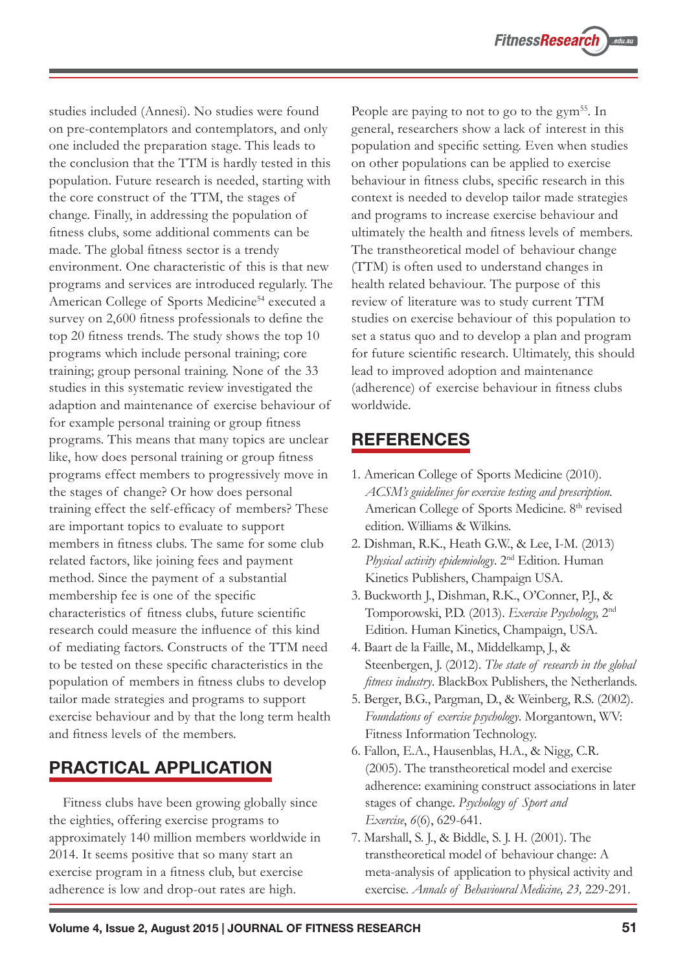studies included (Annesi). No studies were found on pre-contemplators and contemplators, and only one included the preparation stage. This leads to the conclusion that the TTM is hardly tested in this population. Future research is needed, starting with the core construct of the TTM, the stages of change. Finally, in addressing the population of fitness clubs, some additional comments can be made. The global fitness sector is a trendy environment. One characteristic of this is that new programs and services are introduced regularly. The American College of Sports Medicine<sup>54</sup> executed a survey on 2,600 fitness professionals to define the top 20 fitness trends. The study shows the top 10 programs which include personal training; core training; group personal training. None of the 33 studies in this systematic review investigated the adaption and maintenance of exercise behaviour of for example personal training or group fitness programs. This means that many topics are unclear like, how does personal training or group fitness programs effect members to progressively move in the stages of change? Or how does personal training effect the self-efficacy of members? These are important topics to evaluate to support members in fitness clubs. The same for some club related factors, like joining fees and payment method. Since the payment of a substantial membership fee is one of the specific characteristics of fitness clubs, future scientific research could measure the influence of this kind of mediating factors. Constructs of the TTM need to be tested on these specific characteristics in the population of members in fitness clubs to develop tailor made strategies and programs to support exercise behaviour and by that the long term health and fitness levels of the members.

## **PRACTICAL APPLICATION**

Fitness clubs have been growing globally since the eighties, offering exercise programs to approximately 140 million members worldwide in 2014. It seems positive that so many start an exercise program in a fitness club, but exercise adherence is low and drop-out rates are high.

People are paying to not to go to the gym<sup>55</sup>. In general, researchers show a lack of interest in this population and specific setting. Even when studies on other populations can be applied to exercise behaviour in fitness clubs, specific research in this context is needed to develop tailor made strategies and programs to increase exercise behaviour and ultimately the health and fitness levels of members. The transtheoretical model of behaviour change (TTM) is often used to understand changes in health related behaviour. The purpose of this review of literature was to study current TTM studies on exercise behaviour of this population to set a status quo and to develop a plan and program for future scientific research. Ultimately, this should lead to improved adoption and maintenance (adherence) of exercise behaviour in fitness clubs worldwide.

## **REFERENCES**

- 1. American College of Sports Medicine (2010). *ACSM's guidelines for exercise testing and prescription.* American College of Sports Medicine. 8<sup>th</sup> revised edition. Williams & Wilkins.
- 2. Dishman, R.K., Heath G.W., & Lee, I-M. (2013) *Physical activity epidemiology*. 2nd Edition. Human Kinetics Publishers, Champaign USA.
- 3. Buckworth J., Dishman, R.K., O'Conner, P.J., & Tomporowski, P.D. (2013). *Exercise Psychology,* 2nd Edition. Human Kinetics, Champaign, USA.
- 4. Baart de la Faille, M., Middelkamp, J., & Steenbergen, J. (2012). *The state of research in the global fitness industry*. BlackBox Publishers, the Netherlands.
- 5. Berger, B.G., Pargman, D., & Weinberg, R.S. (2002). *Foundations of exercise psychology*. Morgantown, WV: Fitness Information Technology.
- 6. Fallon, E.A., Hausenblas, H.A., & Nigg, C.R. (2005). The transtheoretical model and exercise adherence: examining construct associations in later stages of change. *Psychology of Sport and Exercise*, *6*(6), 629-641.
- 7. Marshall, S. J., & Biddle, S. J. H. (2001). The transtheoretical model of behaviour change: A meta-analysis of application to physical activity and exercise. *Annals of Behavioural Medicine, 23,* 229-291.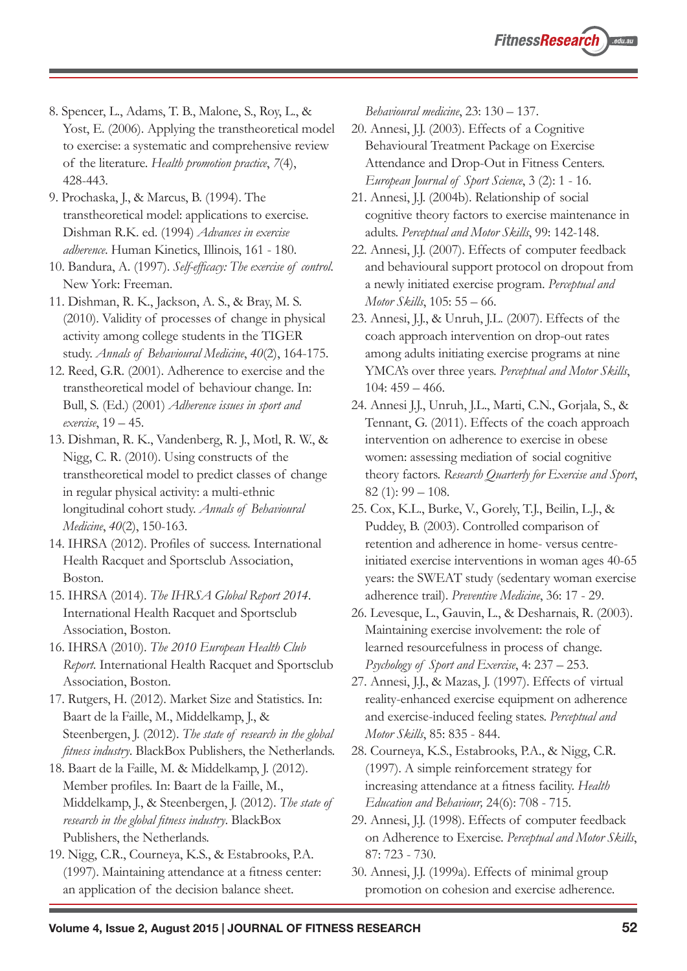8. Spencer, L., Adams, T. B., Malone, S., Roy, L., & Yost, E. (2006). Applying the transtheoretical model to exercise: a systematic and comprehensive review of the literature. *Health promotion practice*, *7*(4), 428-443.

9. Prochaska, J., & Marcus, B. (1994). The transtheoretical model: applications to exercise. Dishman R.K. ed. (1994) *Advances in exercise adherence*. Human Kinetics, Illinois, 161 - 180.

10. Bandura, A. (1997). *Self-efficacy: The exercise of control*. New York: Freeman.

11. Dishman, R. K., Jackson, A. S., & Bray, M. S. (2010). Validity of processes of change in physical activity among college students in the TIGER study. *Annals of Behavioural Medicine*, *40*(2), 164-175.

12. Reed, G.R. (2001). Adherence to exercise and the transtheoretical model of behaviour change. In: Bull, S. (Ed.) (2001) *Adherence issues in sport and exercise*, 19 – 45.

13. Dishman, R. K., Vandenberg, R. J., Motl, R. W., & Nigg, C. R. (2010). Using constructs of the transtheoretical model to predict classes of change in regular physical activity: a multi-ethnic longitudinal cohort study. *Annals of Behavioural Medicine*, *40*(2), 150-163.

14. IHRSA (2012). Profiles of success. International Health Racquet and Sportsclub Association, Boston.

15. IHRSA (2014). *The IHRSA Global Report 2014*. International Health Racquet and Sportsclub Association, Boston.

16. IHRSA (2010). *The 2010 European Health Club Report*. International Health Racquet and Sportsclub Association, Boston.

17. Rutgers, H. (2012). Market Size and Statistics. In: Baart de la Faille, M., Middelkamp, J., & Steenbergen, J. (2012). *The state of research in the global fitness industry*. BlackBox Publishers, the Netherlands.

18. Baart de la Faille, M. & Middelkamp, J. (2012). Member profiles. In: Baart de la Faille, M., Middelkamp, J., & Steenbergen, J. (2012). *The state of research in the global fitness industry*. BlackBox Publishers, the Netherlands.

19. Nigg, C.R., Courneya, K.S., & Estabrooks, P.A. (1997). Maintaining attendance at a fitness center: an application of the decision balance sheet.

*Behavioural medicine*, 23: 130 – 137.

20. Annesi, J.J. (2003). Effects of a Cognitive Behavioural Treatment Package on Exercise Attendance and Drop-Out in Fitness Centers. *European Journal of Sport Science*, 3 (2): 1 - 16.

21. Annesi, J.J. (2004b). Relationship of social cognitive theory factors to exercise maintenance in adults. *Perceptual and Motor Skills*, 99: 142-148.

22. Annesi, J.J. (2007). Effects of computer feedback and behavioural support protocol on dropout from a newly initiated exercise program. *Perceptual and Motor Skills*, 105: 55 – 66.

- 23. Annesi, J.J., & Unruh, J.L. (2007). Effects of the coach approach intervention on drop-out rates among adults initiating exercise programs at nine YMCA's over three years. *Perceptual and Motor Skills*,  $104: 459 - 466.$
- 24. Annesi J.J., Unruh, J.L., Marti, C.N., Gorjala, S., & Tennant, G. (2011). Effects of the coach approach intervention on adherence to exercise in obese women: assessing mediation of social cognitive theory factors. *Research Quarterly for Exercise and Sport*, 82 $(1): 99 - 108.$
- 25. Cox, K.L., Burke, V., Gorely, T.J., Beilin, L.J., & Puddey, B. (2003). Controlled comparison of retention and adherence in home- versus centreinitiated exercise interventions in woman ages 40-65 years: the SWEAT study (sedentary woman exercise adherence trail). *Preventive Medicine*, 36: 17 - 29.
- 26. Levesque, L., Gauvin, L., & Desharnais, R. (2003). Maintaining exercise involvement: the role of learned resourcefulness in process of change. *Psychology of Sport and Exercise*, 4: 237 – 253.

27. Annesi, J.J., & Mazas, J. (1997). Effects of virtual reality-enhanced exercise equipment on adherence and exercise-induced feeling states. *Perceptual and Motor Skills*, 85: 835 - 844.

28. Courneya, K.S., Estabrooks, P.A., & Nigg, C.R. (1997). A simple reinforcement strategy for increasing attendance at a fitness facility. *Health Education and Behaviour,* 24(6): 708 - 715.

29. Annesi, J.J. (1998). Effects of computer feedback on Adherence to Exercise. *Perceptual and Motor Skills*, 87: 723 - 730.

30. Annesi, J.J. (1999a). Effects of minimal group promotion on cohesion and exercise adherence.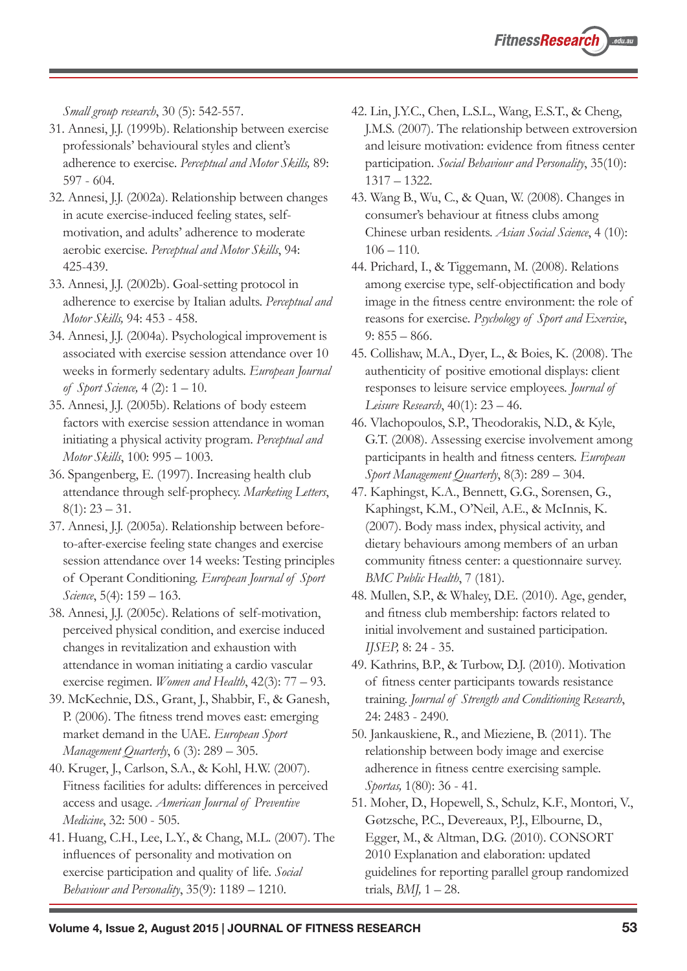*Small group research*, 30 (5): 542-557.

- 31. Annesi, J.J. (1999b). Relationship between exercise professionals' behavioural styles and client's adherence to exercise. *Perceptual and Motor Skills,* 89: 597 - 604.
- 32. Annesi, J.J. (2002a). Relationship between changes in acute exercise-induced feeling states, selfmotivation, and adults' adherence to moderate aerobic exercise. *Perceptual and Motor Skills*, 94: 425-439.
- 33. Annesi, J.J. (2002b). Goal-setting protocol in adherence to exercise by Italian adults. *Perceptual and Motor Skills,* 94: 453 - 458.
- 34. Annesi, J.J. (2004a). Psychological improvement is associated with exercise session attendance over 10 weeks in formerly sedentary adults. *European Journal of Sport Science,* 4 (2): 1 – 10.
- 35. Annesi, J.J. (2005b). Relations of body esteem factors with exercise session attendance in woman initiating a physical activity program. *Perceptual and Motor Skills*, 100: 995 – 1003.
- 36. Spangenberg, E. (1997). Increasing health club attendance through self-prophecy. *Marketing Letters*,  $8(1): 23 - 31.$
- 37. Annesi, J.J. (2005a). Relationship between beforeto-after-exercise feeling state changes and exercise session attendance over 14 weeks: Testing principles of Operant Conditioning. *European Journal of Sport Science*, 5(4): 159 – 163.
- 38. Annesi, J.J. (2005c). Relations of self-motivation, perceived physical condition, and exercise induced changes in revitalization and exhaustion with attendance in woman initiating a cardio vascular exercise regimen. *Women and Health*, 42(3): 77 – 93.
- 39. McKechnie, D.S., Grant, J., Shabbir, F., & Ganesh, P. (2006). The fitness trend moves east: emerging market demand in the UAE. *European Sport Management Quarterly*, 6 (3): 289 – 305.
- 40. Kruger, J., Carlson, S.A., & Kohl, H.W. (2007). Fitness facilities for adults: differences in perceived access and usage. *American Journal of Preventive Medicine*, 32: 500 - 505.
- 41. Huang, C.H., Lee, L.Y., & Chang, M.L. (2007). The influences of personality and motivation on exercise participation and quality of life. *Social Behaviour and Personality*, 35(9): 1189 – 1210.
- 42. Lin, J.Y.C., Chen, L.S.L., Wang, E.S.T., & Cheng, J.M.S. (2007). The relationship between extroversion and leisure motivation: evidence from fitness center participation. *Social Behaviour and Personality*, 35(10): 1317 – 1322.
- 43. Wang B., Wu, C., & Quan, W. (2008). Changes in consumer's behaviour at fitness clubs among Chinese urban residents. *Asian Social Science*, 4 (10):  $106 - 110.$
- 44. Prichard, I., & Tiggemann, M. (2008). Relations among exercise type, self-objectification and body image in the fitness centre environment: the role of reasons for exercise. *Psychology of Sport and Exercise*,  $9: 855 - 866.$
- 45. Collishaw, M.A., Dyer, L., & Boies, K. (2008). The authenticity of positive emotional displays: client responses to leisure service employees. *Journal of Leisure Research*, 40(1): 23 – 46.
- 46. Vlachopoulos, S.P., Theodorakis, N.D., & Kyle, G.T. (2008). Assessing exercise involvement among participants in health and fitness centers. *European Sport Management Quarterly*, 8(3): 289 – 304.
- 47. Kaphingst, K.A., Bennett, G.G., Sorensen, G., Kaphingst, K.M., O'Neil, A.E., & McInnis, K. (2007). Body mass index, physical activity, and dietary behaviours among members of an urban community fitness center: a questionnaire survey. *BMC Public Health*, 7 (181).
- 48. Mullen, S.P., & Whaley, D.E. (2010). Age, gender, and fitness club membership: factors related to initial involvement and sustained participation. *IJSEP,* 8: 24 - 35.
- 49. Kathrins, B.P., & Turbow, D.J. (2010). Motivation of fitness center participants towards resistance training. *Journal of Strength and Conditioning Research*, 24: 2483 - 2490.
- 50. Jankauskiene, R., and Mieziene, B. (2011). The relationship between body image and exercise adherence in fitness centre exercising sample. *Sportas,* 1(80): 36 - 41.
- 51. Moher, D., Hopewell, S., Schulz, K.F., Montori, V., Gøtzsche, P.C., Devereaux, P.J., Elbourne, D., Egger, M., & Altman, D.G. (2010). CONSORT 2010 Explanation and elaboration: updated guidelines for reporting parallel group randomized trials, *BMJ,* 1 – 28.